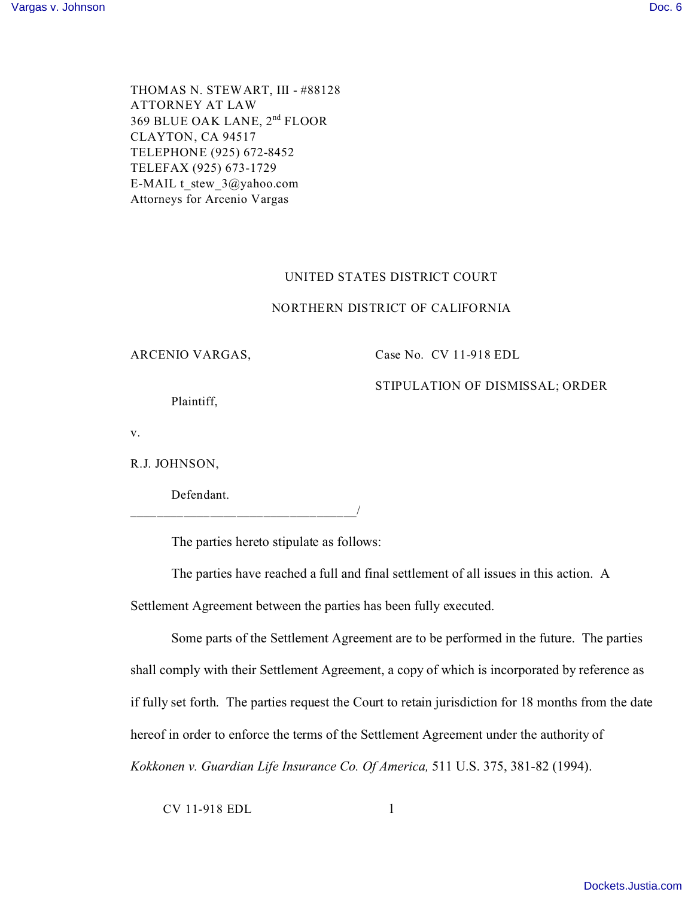THOMAS N. STEWART, III - #88128 ATTORNEY AT LAW 369 BLUE OAK LANE, 2nd FLOOR CLAYTON, CA 94517 TELEPHONE (925) 672-8452 TELEFAX (925) 673-1729 E-MAIL t\_stew\_3@yahoo.com Attorneys for Arcenio Vargas

## UNITED STATES DISTRICT COURT

## NORTHERN DISTRICT OF CALIFORNIA

## ARCENIO VARGAS, Case No. CV 11-918 EDL

Plaintiff,

STIPULATION OF DISMISSAL; ORDER

v.

R.J. JOHNSON,

Defendant.

The parties hereto stipulate as follows:

\_\_\_\_\_\_\_\_\_\_\_\_\_\_\_\_\_\_\_\_\_\_\_\_\_\_\_\_\_\_\_\_\_\_/

The parties have reached a full and final settlement of all issues in this action. A

Settlement Agreement between the parties has been fully executed.

Some parts of the Settlement Agreement are to be performed in the future. The parties shall comply with their Settlement Agreement, a copy of which is incorporated by reference as if fully set forth. The parties request the Court to retain jurisdiction for 18 months from the date hereof in order to enforce the terms of the Settlement Agreement under the authority of *Kokkonen v. Guardian Life Insurance Co. Of America,* 511 U.S. 375, 381-82 (1994).

CV 11-918 EDL 1